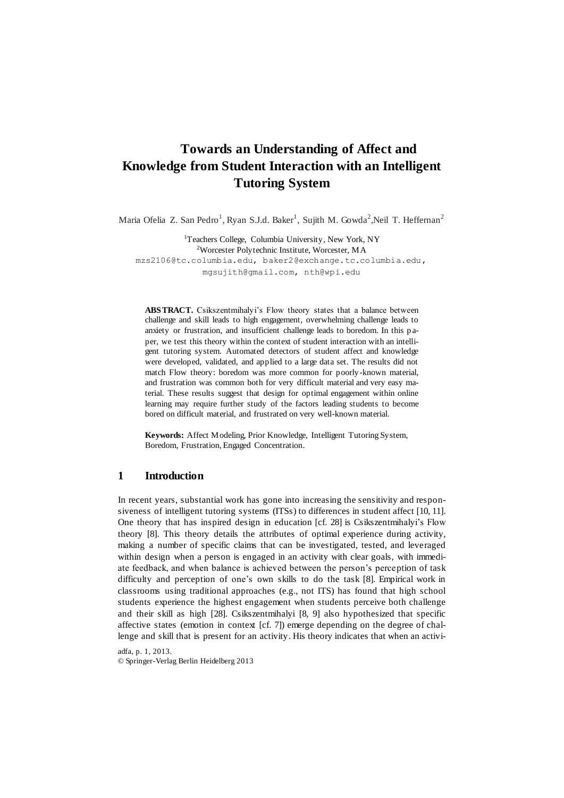# **Towards an Understanding of Affect and Knowledge from Student Interaction with an Intelligent Tutoring System**

Maria Ofelia Z. San Pedro<sup>1</sup>, Ryan S.J.d. Baker<sup>1</sup>, Sujith M. Gowda<sup>2</sup>, Neil T. Heffernan<sup>2</sup>

<sup>1</sup>Teachers College, Columbia University, New York, NY <sup>2</sup>Worcester Polytechnic Institute, Worcester, MA mzs2106@tc.columbia.edu, baker2@exchange.tc.columbia.edu, mgsujith@gmail.com, nth@wpi.edu

**ABSTRACT.** Csikszentmihalyi's Flow theory states that a balance between challenge and skill leads to high engagement, overwhelming challenge leads to anxiety or frustration, and insufficient challenge leads to boredom. In this p aper, we test this theory within the context of student interaction with an intelligent tutoring system. Automated detectors of student affect and knowledge were developed, validated, and applied to a large data set. The results did not match Flow theory: boredom was more common for poorly -known material, and frustration was common both for very difficult material and very easy material. These results suggest that design for optimal engagement within online learning may require further study of the factors leading students to become bored on difficult material, and frustrated on very well-known material.

**Keywords:** Affect Modeling, Prior Knowledge, Intelligent Tutoring System, Boredom, Frustration, Engaged Concentration.

# **1 Introduction**

In recent years, substantial work has gone into increasing the sensitivity and responsiveness of intelligent tutoring systems (ITSs) to differences in student affect [10, 11]. One theory that has inspired design in education [cf. 28] is Csikszentmihalyi's Flow theory [8]. This theory details the attributes of optimal experience during activity, making a number of specific claims that can be investigated, tested, and leveraged within design when a person is engaged in an activity with clear goals, with immediate feedback, and when balance is achieved between the person's perception of task difficulty and perception of one's own skills to do the task [8]. Empirical work in classrooms using traditional approaches (e.g., not ITS) has found that high school students experience the highest engagement when students perceive both challenge and their skill as high [28]. Csikszentmihalyi [8, 9] also hypothesized that specific affective states (emotion in context [cf. 7]) emerge depending on the degree of challenge and skill that is present for an activity. His theory indicates that when an activi-

adfa, p. 1, 2013. © Springer-Verlag Berlin Heidelberg 2013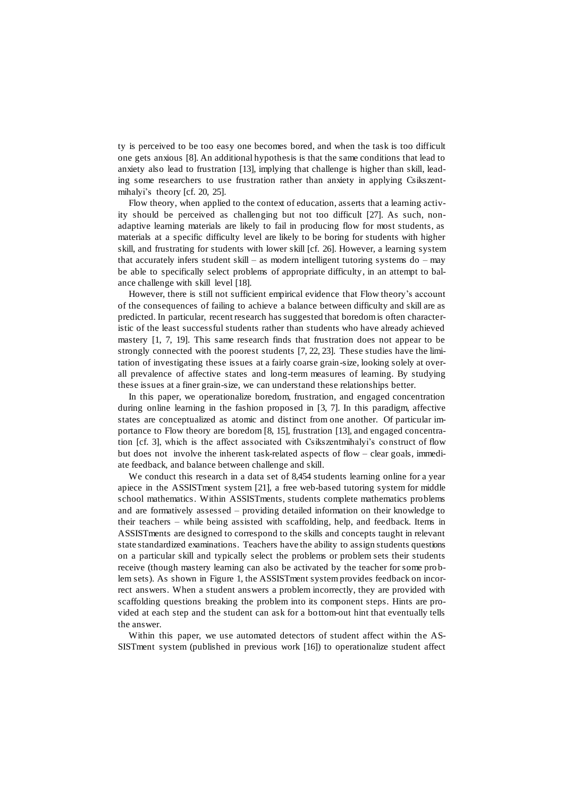ty is perceived to be too easy one becomes bored, and when the task is too difficult one gets anxious [8]. An additional hypothesis is that the same conditions that lead to anxiety also lead to frustration [13], implying that challenge is higher than skill, leading some researchers to use frustration rather than anxiety in applying Csikszentmihalyi's theory [cf. 20, 25].

Flow theory, when applied to the context of education, asserts that a learning activity should be perceived as challenging but not too difficult [27]. As such, nonadaptive learning materials are likely to fail in producing flow for most students, as materials at a specific difficulty level are likely to be boring for students with higher skill, and frustrating for students with lower skill [cf. 26]. However, a learning system that accurately infers student skill – as modern intelligent tutoring systems do – may be able to specifically select problems of appropriate difficulty, in an attempt to balance challenge with skill level [18].

However, there is still not sufficient empirical evidence that Flow theory's account of the consequences of failing to achieve a balance between difficulty and skill are as predicted. In particular, recent research has suggested that boredom is often characteristic of the least successful students rather than students who have already achieved mastery [1, 7, 19]. This same research finds that frustration does not appear to be strongly connected with the poorest students [7, 22, 23]. These studies have the limitation of investigating these issues at a fairly coarse grain-size, looking solely at overall prevalence of affective states and long-term measures of learning. By studying these issues at a finer grain-size, we can understand these relationships better.

In this paper, we operationalize boredom, frustration, and engaged concentration during online learning in the fashion proposed in [3, 7]. In this paradigm, affective states are conceptualized as atomic and distinct from one another. Of particular importance to Flow theory are boredom [8, 15], frustration [13], and engaged concentration [cf. 3], which is the affect associated with Csikszentmihalyi's construct of flow but does not involve the inherent task-related aspects of flow – clear goals, immediate feedback, and balance between challenge and skill.

We conduct this research in a data set of 8,454 students learning online for a year apiece in the ASSISTment system [21], a free web-based tutoring system for middle school mathematics. Within ASSISTments, students complete mathematics problems and are formatively assessed – providing detailed information on their knowledge to their teachers – while being assisted with scaffolding, help, and feedback. Items in ASSISTments are designed to correspond to the skills and concepts taught in relevant state standardized examinations. Teachers have the ability to assign students questions on a particular skill and typically select the problems or problem sets their students receive (though mastery learning can also be activated by the teacher for some pro blem sets). As shown in Figure 1, the ASSISTment system provides feedback on incorrect answers. When a student answers a problem incorrectly, they are provided with scaffolding questions breaking the problem into its component steps. Hints are provided at each step and the student can ask for a bottom-out hint that eventually tells the answer.

Within this paper, we use automated detectors of student affect within the AS-SISTment system (published in previous work [16]) to operationalize student affect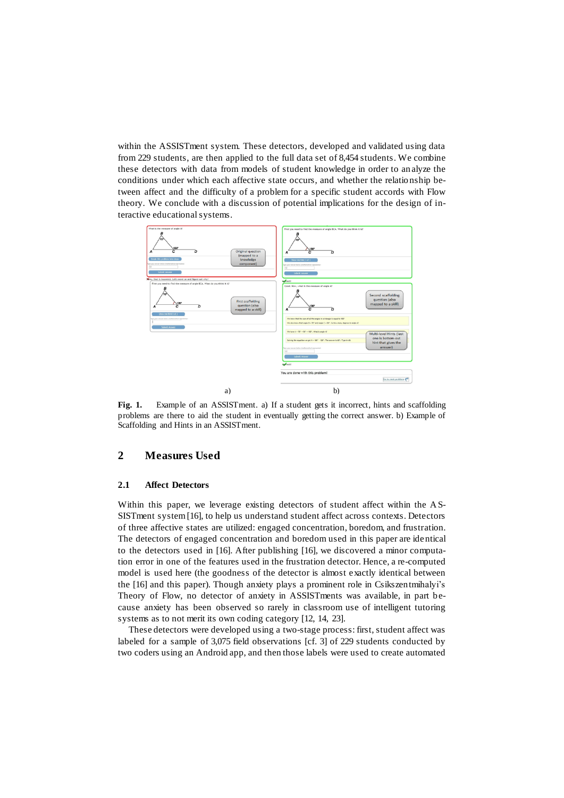within the ASSISTment system. These detectors, developed and validated using data from 229 students, are then applied to the full data set of 8,454 students. We combine these detectors with data from models of student knowledge in order to an alyze the conditions under which each affective state occurs, and whether the relatio nship between affect and the difficulty of a problem for a specific student accords with Flow theory. We conclude with a discussion of potential implications for the design of interactive educational systems.



Fig. 1. Example of an ASSISTment. a) If a student gets it incorrect, hints and scaffolding problems are there to aid the student in eventually getting the correct answer. b) Example of Scaffolding and Hints in an ASSISTment.

# **2 Measures Used**

### **2.1 Affect Detectors**

Within this paper, we leverage existing detectors of student affect within the AS-SISTment system[16], to help us understand student affect across contexts. Detectors of three affective states are utilized: engaged concentration, boredom, and frustration. The detectors of engaged concentration and boredom used in this paper are identical to the detectors used in [16]. After publishing [16], we discovered a minor computation error in one of the features used in the frustration detector. Hence, a re-computed model is used here (the goodness of the detector is almost exactly identical between the [16] and this paper). Though anxiety plays a prominent role in Csikszentmihalyi's Theory of Flow, no detector of anxiety in ASSISTments was available, in part because anxiety has been observed so rarely in classroom use of intelligent tutoring systems as to not merit its own coding category [12, 14, 23].

These detectors were developed using a two-stage process: first, student affect was labeled for a sample of 3,075 field observations [cf. 3] of 229 students conducted by two coders using an Android app, and then those labels were used to create automated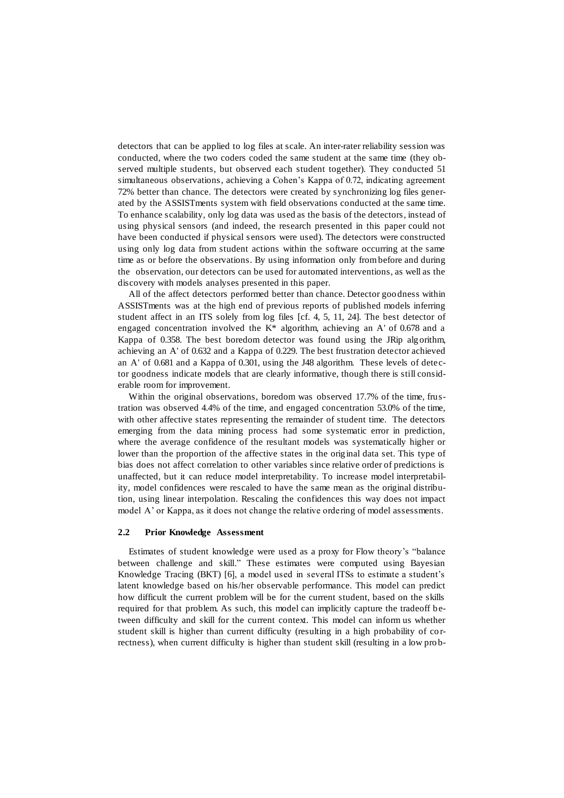detectors that can be applied to log files at scale. An inter-rater reliability session was conducted, where the two coders coded the same student at the same time (they observed multiple students, but observed each student together). They conducted 51 simultaneous observations, achieving a Cohen's Kappa of 0.72, indicating agreement 72% better than chance. The detectors were created by synchronizing log files generated by the ASSISTments system with field observations conducted at the same time. To enhance scalability, only log data was used as the basis of the detectors, instead of using physical sensors (and indeed, the research presented in this paper could not have been conducted if physical sensors were used). The detectors were constructed using only log data from student actions within the software occurring at the same time as or before the observations. By using information only from before and during the observation, our detectors can be used for automated interventions, as well as the discovery with models analyses presented in this paper.

All of the affect detectors performed better than chance. Detector goodness within ASSISTments was at the high end of previous reports of published models inferring student affect in an ITS solely from log files [cf. 4, 5, 11, 24]. The best detector of engaged concentration involved the K\* algorithm, achieving an A' of 0.678 and a Kappa of 0.358. The best boredom detector was found using the JRip alg orithm, achieving an A' of 0.632 and a Kappa of 0.229. The best frustration detector achieved an A' of 0.681 and a Kappa of 0.301, using the J48 algorithm. These levels of detector goodness indicate models that are clearly informative, though there is still considerable room for improvement.

Within the original observations, boredom was observed 17.7% of the time, frustration was observed 4.4% of the time, and engaged concentration 53.0% of the time, with other affective states representing the remainder of student time. The detectors emerging from the data mining process had some systematic error in prediction, where the average confidence of the resultant models was systematically higher or lower than the proportion of the affective states in the original data set. This type of bias does not affect correlation to other variables since relative order of predictions is unaffected, but it can reduce model interpretability. To increase model interpretability, model confidences were rescaled to have the same mean as the original distribution, using linear interpolation. Rescaling the confidences this way does not impact model A' or Kappa, as it does not change the relative ordering of model assessments.

#### **2.2 Prior Knowledge Assessment**

Estimates of student knowledge were used as a proxy for Flow theory's "balance between challenge and skill." These estimates were computed using Bayesian Knowledge Tracing (BKT) [6], a model used in several ITSs to estimate a student's latent knowledge based on his/her observable performance. This model can predict how difficult the current problem will be for the current student, based on the skills required for that problem. As such, this model can implicitly capture the tradeoff between difficulty and skill for the current context. This model can inform us whether student skill is higher than current difficulty (resulting in a high probability of correctness), when current difficulty is higher than student skill (resulting in a low pro b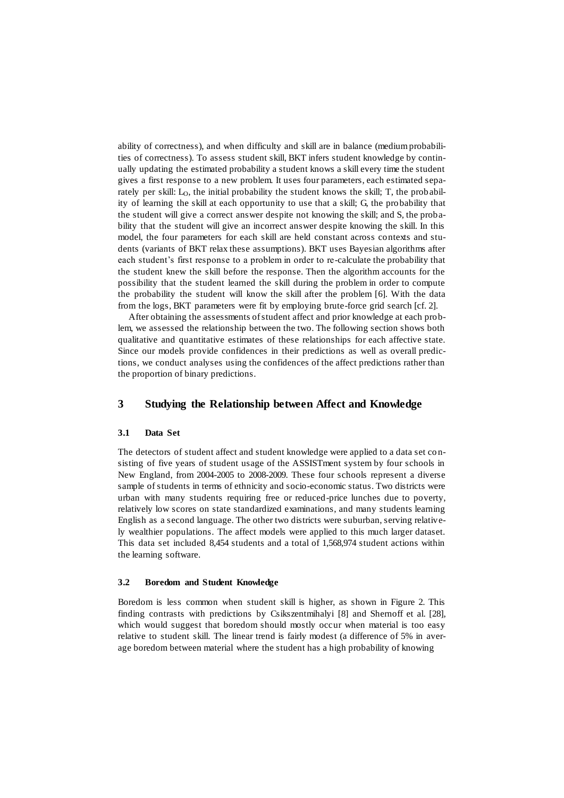ability of correctness), and when difficulty and skill are in balance (medium probabilities of correctness). To assess student skill, BKT infers student knowledge by continually updating the estimated probability a student knows a skill every time the student gives a first response to a new problem. It uses four parameters, each estimated separately per skill:  $L_0$ , the initial probability the student knows the skill; T, the probability of learning the skill at each opportunity to use that a skill; G, the probability that the student will give a correct answer despite not knowing the skill; and S, the probability that the student will give an incorrect answer despite knowing the skill. In this model, the four parameters for each skill are held constant across contexts and students (variants of BKT relax these assumptions). BKT uses Bayesian algorithms after each student's first response to a problem in order to re-calculate the probability that the student knew the skill before the response. Then the algorithm accounts for the possibility that the student learned the skill during the problem in order to compute the probability the student will know the skill after the problem [6]. With the data from the logs, BKT parameters were fit by employing brute-force grid search [cf. 2].

After obtaining the assessments of student affect and prior knowledge at each problem, we assessed the relationship between the two. The following section shows both qualitative and quantitative estimates of these relationships for each affective state. Since our models provide confidences in their predictions as well as overall predictions, we conduct analyses using the confidences of the affect predictions rather than the proportion of binary predictions.

# **3 Studying the Relationship between Affect and Knowledge**

#### **3.1 Data Set**

The detectors of student affect and student knowledge were applied to a data set consisting of five years of student usage of the ASSISTment system by four schools in New England, from 2004-2005 to 2008-2009. These four schools represent a diverse sample of students in terms of ethnicity and socio-economic status. Two districts were urban with many students requiring free or reduced-price lunches due to poverty, relatively low scores on state standardized examinations, and many students learning English as a second language. The other two districts were suburban, serving relatively wealthier populations. The affect models were applied to this much larger dataset. This data set included 8,454 students and a total of 1,568,974 student actions within the learning software.

#### **3.2 Boredom and Student Knowledge**

Boredom is less common when student skill is higher, as shown in Figure 2. This finding contrasts with predictions by Csikszentmihalyi [8] and Shernoff et al. [28], which would suggest that boredom should mostly occur when material is too easy relative to student skill. The linear trend is fairly modest (a difference of 5% in average boredom between material where the student has a high probability of knowing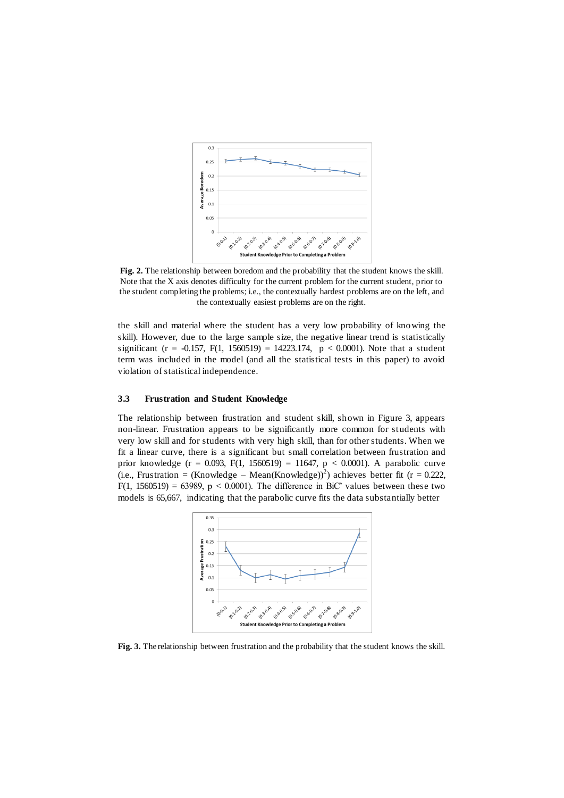

**Fig. 2.** The relationship between boredom and the probability that the student knows the skill. Note that the X axis denotes difficulty for the current problem for the current student, prior to the student completing the problems; i.e., the contextually hardest problems are on the left, and the contextually easiest problems are on the right.

the skill and material where the student has a very low probability of knowing the skill). However, due to the large sample size, the negative linear trend is statistically significant (r = -0.157, F(1, 1560519) = 14223.174,  $p < 0.0001$ ). Note that a student term was included in the model (and all the statistical tests in this paper) to avoid violation of statistical independence.

### **3.3 Frustration and Student Knowledge**

The relationship between frustration and student skill, shown in Figure 3, appears non-linear. Frustration appears to be significantly more common for students with very low skill and for students with very high skill, than for other students. When we fit a linear curve, there is a significant but small correlation between frustration and prior knowledge (r = 0.093, F(1, 1560519) = 11647, p < 0.0001). A parabolic curve (i.e., Frustration = (Knowledge – Mean(Knowledge))<sup>2</sup>) achieves better fit (r = 0.222,  $F(1, 1560519) = 63989$ ,  $p < 0.0001$ ). The difference in BiC' values between these two models is 65,667, indicating that the parabolic curve fits the data substantially better



**Fig. 3.** The relationship between frustration and the probability that the student knows the skill.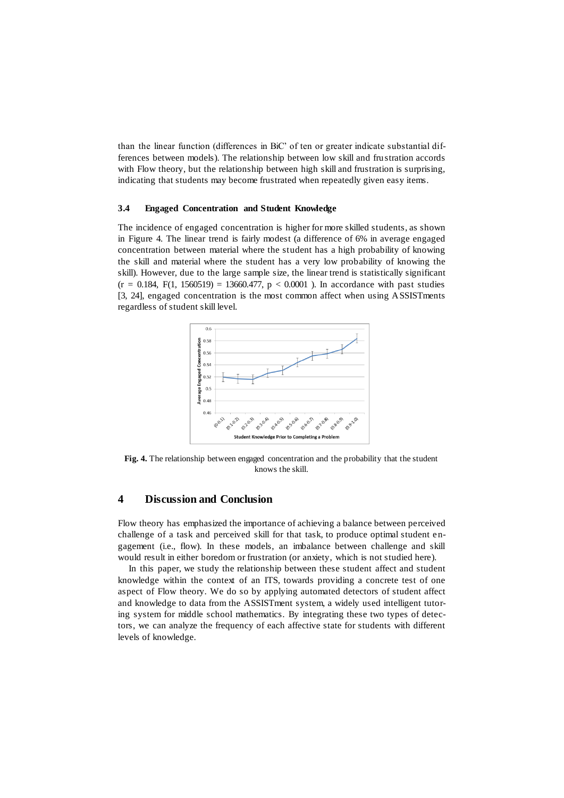than the linear function (differences in BiC' of ten or greater indicate substantial differences between models). The relationship between low skill and frustration accords with Flow theory, but the relationship between high skill and frustration is surprising, indicating that students may become frustrated when repeatedly given easy items.

### **3.4 Engaged Concentration and Student Knowledge**

The incidence of engaged concentration is higher for more skilled students, as shown in Figure 4. The linear trend is fairly modest (a difference of 6% in average engaged concentration between material where the student has a high probability of knowing the skill and material where the student has a very low probability of knowing the skill). However, due to the large sample size, the linear trend is statistically significant  $(r = 0.184, F(1, 1560519) = 13660.477, p < 0.0001$ ). In accordance with past studies [3, 24], engaged concentration is the most common affect when using ASSISTments regardless of student skill level.



**Fig. 4.** The relationship between engaged concentration and the probability that the student knows the skill.

# **4 Discussion and Conclusion**

Flow theory has emphasized the importance of achieving a balance between perceived challenge of a task and perceived skill for that task, to produce optimal student engagement (i.e., flow). In these models, an imbalance between challenge and skill would result in either boredom or frustration (or anxiety, which is not studied here).

In this paper, we study the relationship between these student affect and student knowledge within the context of an ITS, towards providing a concrete test of one aspect of Flow theory. We do so by applying automated detectors of student affect and knowledge to data from the ASSISTment system, a widely used intelligent tutoring system for middle school mathematics. By integrating these two types of detectors, we can analyze the frequency of each affective state for students with different levels of knowledge.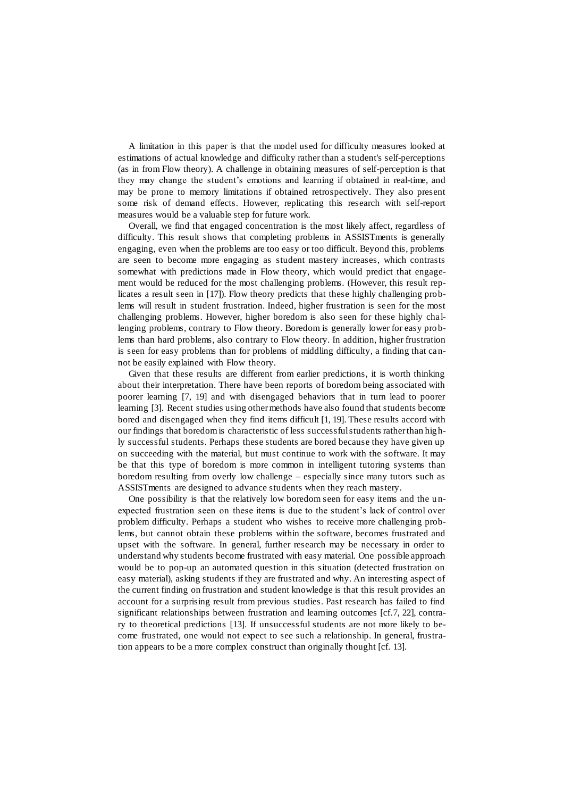A limitation in this paper is that the model used for difficulty measures looked at estimations of actual knowledge and difficulty rather than a student's self-perceptions (as in from Flow theory). A challenge in obtaining measures of self-perception is that they may change the student's emotions and learning if obtained in real-time, and may be prone to memory limitations if obtained retrospectively. They also present some risk of demand effects. However, replicating this research with self-report measures would be a valuable step for future work.

Overall, we find that engaged concentration is the most likely affect, regardless of difficulty. This result shows that completing problems in ASSISTments is generally engaging, even when the problems are too easy or too difficult. Beyond this, problems are seen to become more engaging as student mastery increases, which contrasts somewhat with predictions made in Flow theory, which would predict that engagement would be reduced for the most challenging problems. (However, this result replicates a result seen in [17]). Flow theory predicts that these highly challenging problems will result in student frustration. Indeed, higher frustration is seen for the most challenging problems. However, higher boredom is also seen for these highly cha llenging problems, contrary to Flow theory. Boredom is generally lower for easy pro blems than hard problems, also contrary to Flow theory. In addition, higher frustration is seen for easy problems than for problems of middling difficulty, a finding that cannot be easily explained with Flow theory.

Given that these results are different from earlier predictions, it is worth thinking about their interpretation. There have been reports of boredom being associated with poorer learning [7, 19] and with disengaged behaviors that in turn lead to poorer learning [3]. Recent studies using other methods have also found that students become bored and disengaged when they find items difficult [1, 19]. These results accord with our findings that boredom is characteristic of less successful students rather than hig hly successful students. Perhaps these students are bored because they have given up on succeeding with the material, but must continue to work with the software. It may be that this type of boredom is more common in intelligent tutoring systems than boredom resulting from overly low challenge – especially since many tutors such as ASSISTments are designed to advance students when they reach mastery.

One possibility is that the relatively low boredom seen for easy items and the u nexpected frustration seen on these items is due to the student's lack of control over problem difficulty. Perhaps a student who wishes to receive more challenging problems, but cannot obtain these problems within the software, becomes frustrated and upset with the software. In general, further research may be necessary in order to understand why students become frustrated with easy material. One possible approach would be to pop-up an automated question in this situation (detected frustration on easy material), asking students if they are frustrated and why. An interesting aspect of the current finding on frustration and student knowledge is that this result provides an account for a surprising result from previous studies. Past research has failed to find significant relationships between frustration and learning outcomes [cf.7, 22], contrary to theoretical predictions [13]. If unsuccessful students are not more likely to become frustrated, one would not expect to see such a relationship. In general, frustration appears to be a more complex construct than originally thought [cf. 13].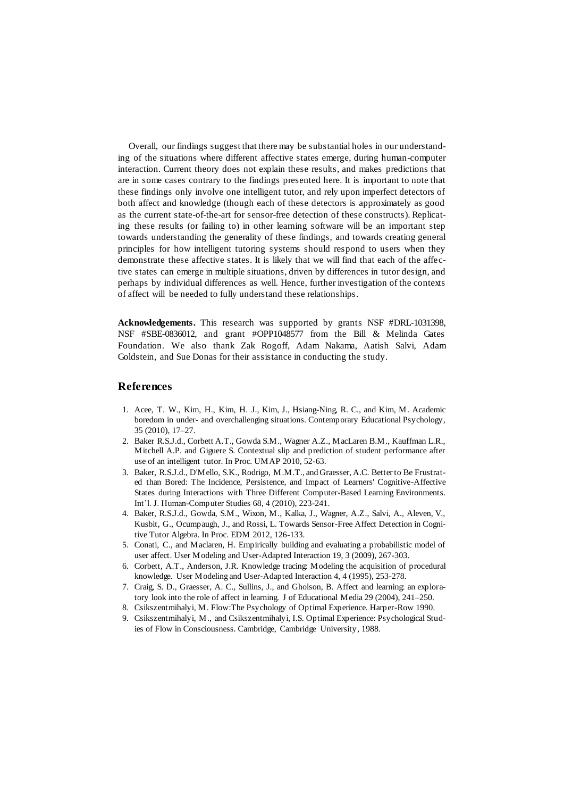Overall, our findings suggest that there may be substantial holes in our understanding of the situations where different affective states emerge, during human-computer interaction. Current theory does not explain these results, and makes predictions that are in some cases contrary to the findings presented here. It is important to note that these findings only involve one intelligent tutor, and rely upon imperfect detectors of both affect and knowledge (though each of these detectors is approximately as good as the current state-of-the-art for sensor-free detection of these constructs). Replicating these results (or failing to) in other learning software will be an important step towards understanding the generality of these findings, and towards creating general principles for how intelligent tutoring systems should respond to users when they demonstrate these affective states. It is likely that we will find that each of the affective states can emerge in multiple situations, driven by differences in tutor design, and perhaps by individual differences as well. Hence, further investigation of the contexts of affect will be needed to fully understand these relationships.

**Acknowledgements.** This research was supported by grants NSF #DRL-1031398, NSF #SBE-0836012, and grant #OPP1048577 from the Bill & Melinda Gates Foundation. We also thank Zak Rogoff, Adam Nakama, Aatish Salvi, Adam Goldstein, and Sue Donas for their assistance in conducting the study.

### **References**

- 1. Acee, T. W., Kim, H., Kim, H. J., Kim, J., Hsiang-Ning, R. C., and Kim, M. Academic boredom in under- and overchallenging situations. Contemporary Educational Psychology, 35 (2010), 17–27.
- 2. Baker R.S.J.d., Corbett A.T., Gowda S.M., Wagner A.Z., MacLaren B.M., Kauffman L.R., Mitchell A.P. and Giguere S. Contextual slip and prediction of student performance after use of an intelligent tutor. In Proc. UMAP 2010, 52-63.
- 3. Baker, R.S.J.d., D'Mello, S.K., Rodrigo, M.M.T., and Graesser, A.C. Better to Be Frustrated than Bored: The Incidence, Persistence, and Impact of Learners' Cognitive-Affective States during Interactions with Three Different Computer-Based Learning Environments. Int'l. J. Human-Computer Studies 68, 4 (2010), 223-241.
- 4. Baker, R.S.J.d., Gowda, S.M., Wixon, M., Kalka, J., Wagner, A.Z., Salvi, A., Aleven, V., Kusbit, G., Ocumpaugh, J., and Rossi, L. Towards Sensor-Free Affect Detection in Cognitive Tutor Algebra. In Proc. EDM 2012, 126-133.
- 5. Conati, C., and Maclaren, H. Empirically building and evaluating a probabilistic model of user affect. User Modeling and User-Adapted Interaction 19, 3 (2009), 267-303.
- 6. Corbett, A.T., Anderson, J.R. Knowledge tracing: Modeling the acquisition of procedural knowledge. User Modeling and User-Adapted Interaction 4, 4 (1995), 253-278.
- 7. Craig, S. D., Graesser, A. C., Sullins, J., and Gholson, B. Affect and learning: an exploratory look into the role of affect in learning. J of Educational Media 29 (2004), 241–250.
- 8. Csikszentmihalyi, M. Flow:The Psychology of Optimal Experience. Harper-Row 1990.
- 9. Csikszentmihalyi, M., and Csikszentmihalyi, I.S. Optimal Experience: Psychological Studies of Flow in Consciousness. Cambridge, Cambridge University, 1988.